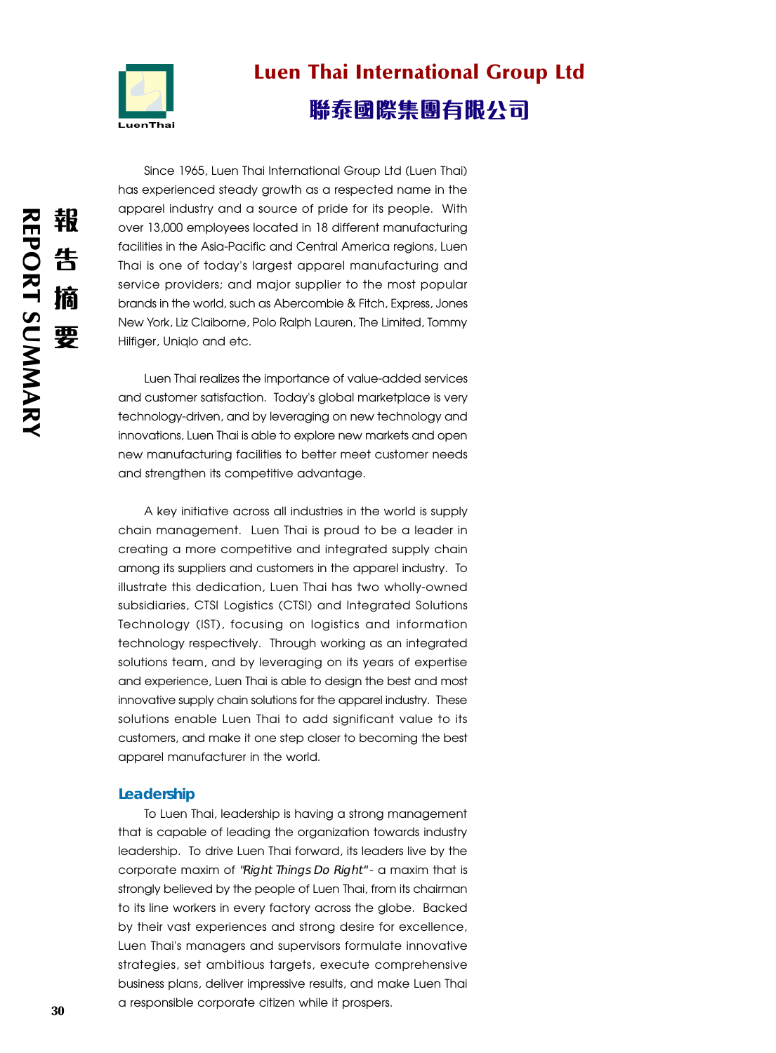

# Luen Thai International Group Ltd 聯泰國際集團有限公司

Since 1965, Luen Thai International Group Ltd (Luen Thai) has experienced steady growth as a respected name in the apparel industry and a source of pride for its people. With over 13,000 employees located in 18 different manufacturing facilities in the Asia-Pacific and Central America regions, Luen Thai is one of today's largest apparel manufacturing and service providers; and major supplier to the most popular brands in the world, such as Abercombie & Fitch, Express, Jones New York, Liz Claiborne, Polo Ralph Lauren, The Limited, Tommy Hilfiger, Uniqlo and etc.

Luen Thai realizes the importance of value-added services and customer satisfaction. Today's global marketplace is very technology-driven, and by leveraging on new technology and innovations, Luen Thai is able to explore new markets and open new manufacturing facilities to better meet customer needs and strengthen its competitive advantage.

A key initiative across all industries in the world is supply chain management. Luen Thai is proud to be a leader in creating a more competitive and integrated supply chain among its suppliers and customers in the apparel industry. To illustrate this dedication, Luen Thai has two wholly-owned subsidiaries, CTSI Logistics (CTSI) and Integrated Solutions Technology (IST), focusing on logistics and information technology respectively. Through working as an integrated solutions team, and by leveraging on its years of expertise and experience, Luen Thai is able to design the best and most innovative supply chain solutions for the apparel industry. These solutions enable Luen Thai to add significant value to its customers, and make it one step closer to becoming the best apparel manufacturer in the world.

#### **Leadership**

To Luen Thai, leadership is having a strong management that is capable of leading the organization towards industry leadership. To drive Luen Thai forward, its leaders live by the corporate maxim of "Right Things Do Right" - a maxim that is strongly believed by the people of Luen Thai, from its chairman to its line workers in every factory across the globe. Backed by their vast experiences and strong desire for excellence, Luen Thai's managers and supervisors formulate innovative strategies, set ambitious targets, execute comprehensive business plans, deliver impressive results, and make Luen Thai a responsible corporate citizen while it prospers.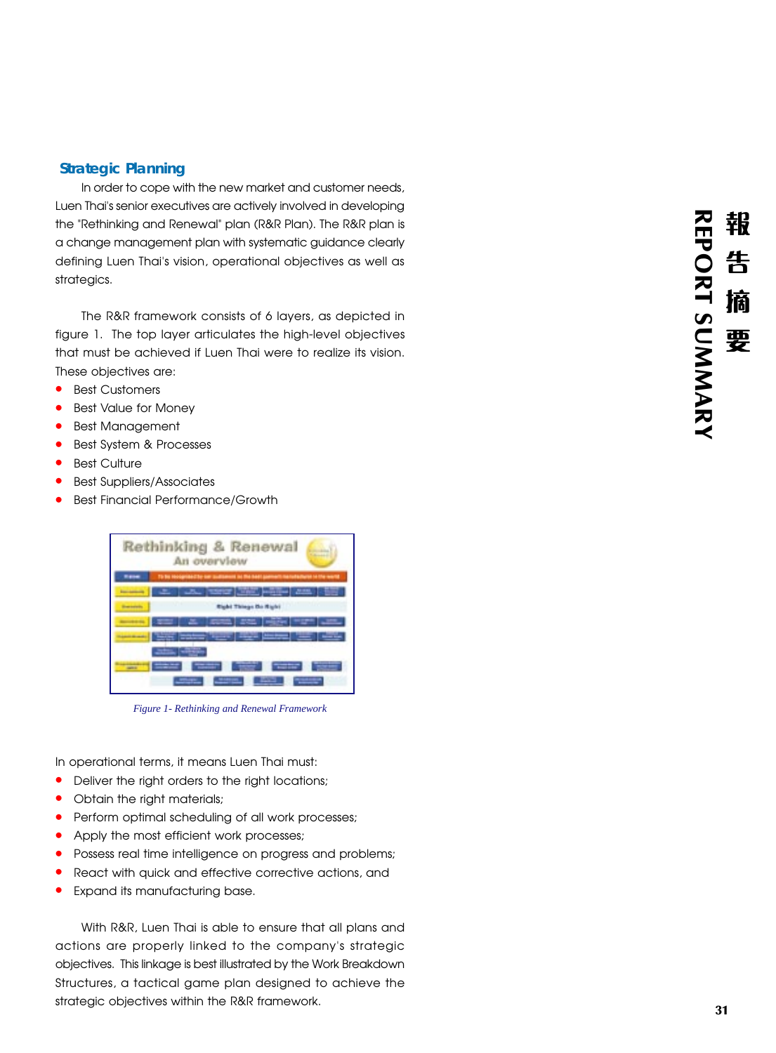## **Strategic Planning**

In order to cope with the new market and customer needs, Luen Thai's senior executives are actively involved in developing the "Rethinking and Renewal" plan (R&R Plan). The R&R plan is a change management plan with systematic guidance clearly defining Luen Thai's vision, operational objectives as well as strategics.

The R&R framework consists of 6 layers, as depicted in figure 1. The top layer articulates the high-level objectives that must be achieved if Luen Thai were to realize its vision. These objectives are:

- **•** Best Customers
- **•** Best Value for Money
- **•** Best Management
- **•** Best System & Processes
- **•** Best Culture
- **•** Best Suppliers/Associates
- **•** Best Financial Performance/Growth



*Figure 1- Rethinking and Renewal Framework*

In operational terms, it means Luen Thai must:

- **•** Deliver the right orders to the right locations;
- Obtain the right materials;
- **•** Perform optimal scheduling of all work processes;
- Apply the most efficient work processes;
- **•** Possess real time intelligence on progress and problems;
- **•** React with quick and effective corrective actions, and
- **•** Expand its manufacturing base.

With R&R, Luen Thai is able to ensure that all plans and actions are properly linked to the company's strategic objectives. This linkage is best illustrated by the Work Breakdown Structures, a tactical game plan designed to achieve the strategic objectives within the R&R framework.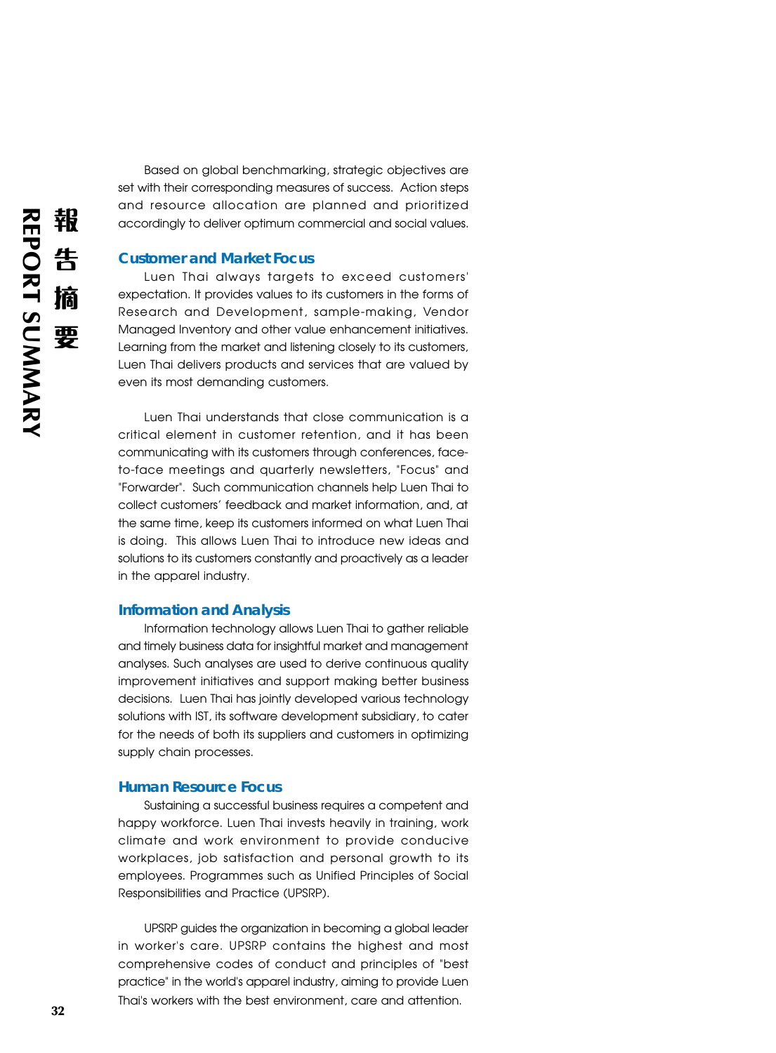Based on global benchmarking, strategic objectives are set with their corresponding measures of success. Action steps and resource allocation are planned and prioritized accordingly to deliver optimum commercial and social values.

### **Customer and Market Focus**

Luen Thai always targets to exceed customers' expectation. It provides values to its customers in the forms of Research and Development, sample-making, Vendor Managed Inventory and other value enhancement initiatives. Learning from the market and listening closely to its customers, Luen Thai delivers products and services that are valued by even its most demanding customers.

Luen Thai understands that close communication is a critical element in customer retention, and it has been communicating with its customers through conferences, faceto-face meetings and quarterly newsletters, "Focus" and "Forwarder". Such communication channels help Luen Thai to collect customers' feedback and market information, and, at the same time, keep its customers informed on what Luen Thai is doing. This allows Luen Thai to introduce new ideas and solutions to its customers constantly and proactively as a leader in the apparel industry.

#### **Information and Analysis**

Information technology allows Luen Thai to gather reliable and timely business data for insightful market and management analyses. Such analyses are used to derive continuous quality improvement initiatives and support making better business decisions. Luen Thai has jointly developed various technology solutions with IST, its software development subsidiary, to cater for the needs of both its suppliers and customers in optimizing supply chain processes.

#### **Human Resource Focus**

Sustaining a successful business requires a competent and happy workforce. Luen Thai invests heavily in training, work climate and work environment to provide conducive workplaces, job satisfaction and personal growth to its employees. Programmes such as Unified Principles of Social Responsibilities and Practice (UPSRP).

UPSRP guides the organization in becoming a global leader in worker's care. UPSRP contains the highest and most comprehensive codes of conduct and principles of "best practice" in the world's apparel industry, aiming to provide Luen Thai's workers with the best environment, care and attention.